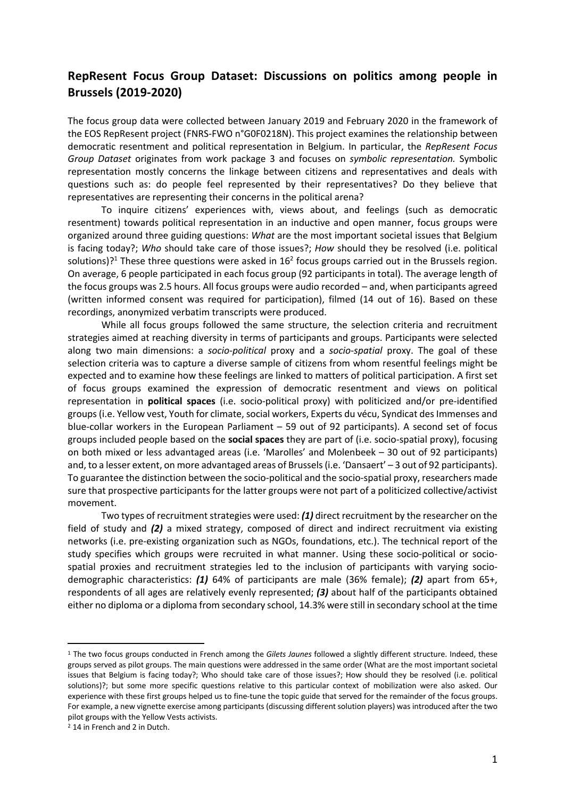## **RepResent Focus Group Dataset: Discussions on politics among people in Brussels (2019-2020)**

The focus group data were collected between January 2019 and February 2020 in the framework of the EOS RepResent project (FNRS-FWO n°G0F0218N). This project examines the relationship between democratic resentment and political representation in Belgium. In particular, the *RepResent Focus Group Dataset* originates from work package 3 and focuses on *symbolic representation.* Symbolic representation mostly concerns the linkage between citizens and representatives and deals with questions such as: do people feel represented by their representatives? Do they believe that representatives are representing their concerns in the political arena?

To inquire citizens' experiences with, views about, and feelings (such as democratic resentment) towards political representation in an inductive and open manner, focus groups were organized around three guiding questions: *What* are the most important societal issues that Belgium is facing today?; *Who* should take care of those issues?; *How* should they be resolved (i.e. political solutions)?<sup>1</sup> These three questions were asked in  $16<sup>2</sup>$  focus groups carried out in the Brussels region. On average, 6 people participated in each focus group (92 participants in total). The average length of the focus groups was 2.5 hours. All focus groups were audio recorded – and, when participants agreed (written informed consent was required for participation), filmed (14 out of 16). Based on these recordings, anonymized verbatim transcripts were produced.

While all focus groups followed the same structure, the selection criteria and recruitment strategies aimed at reaching diversity in terms of participants and groups. Participants were selected along two main dimensions: a *socio-political* proxy and a *socio-spatial* proxy. The goal of these selection criteria was to capture a diverse sample of citizens from whom resentful feelings might be expected and to examine how these feelings are linked to matters of political participation. A first set of focus groups examined the expression of democratic resentment and views on political representation in **political spaces** (i.e. socio-political proxy) with politicized and/or pre-identified groups (i.e. Yellow vest, Youth for climate, social workers, Experts du vécu, Syndicat des Immenses and blue-collar workers in the European Parliament – 59 out of 92 participants). A second set of focus groups included people based on the **social spaces** they are part of (i.e. socio-spatial proxy), focusing on both mixed or less advantaged areas (i.e. 'Marolles' and Molenbeek – 30 out of 92 participants) and, to a lesser extent, on more advantaged areas of Brussels (i.e. 'Dansaert' – 3 out of 92 participants). To guarantee the distinction between the socio-political and the socio-spatial proxy, researchers made sure that prospective participants for the latter groups were not part of a politicized collective/activist movement.

Two types of recruitment strategies were used: *(1)* direct recruitment by the researcher on the field of study and *(2)* a mixed strategy, composed of direct and indirect recruitment via existing networks (i.e. pre-existing organization such as NGOs, foundations, etc.). The technical report of the study specifies which groups were recruited in what manner. Using these socio-political or sociospatial proxies and recruitment strategies led to the inclusion of participants with varying sociodemographic characteristics: *(1)* 64% of participants are male (36% female); *(2)* apart from 65+, respondents of all ages are relatively evenly represented; *(3)* about half of the participants obtained either no diploma or a diploma from secondary school, 14.3% were still in secondary school at the time

<sup>1</sup> The two focus groups conducted in French among the *Gilets Jaunes* followed a slightly different structure. Indeed, these groups served as pilot groups. The main questions were addressed in the same order (What are the most important societal issues that Belgium is facing today?; Who should take care of those issues?; How should they be resolved (i.e. political solutions)?; but some more specific questions relative to this particular context of mobilization were also asked. Our experience with these first groups helped us to fine-tune the topic guide that served for the remainder of the focus groups. For example, a new vignette exercise among participants (discussing different solution players) was introduced after the two pilot groups with the Yellow Vests activists. 2 14 in French and 2 in Dutch.